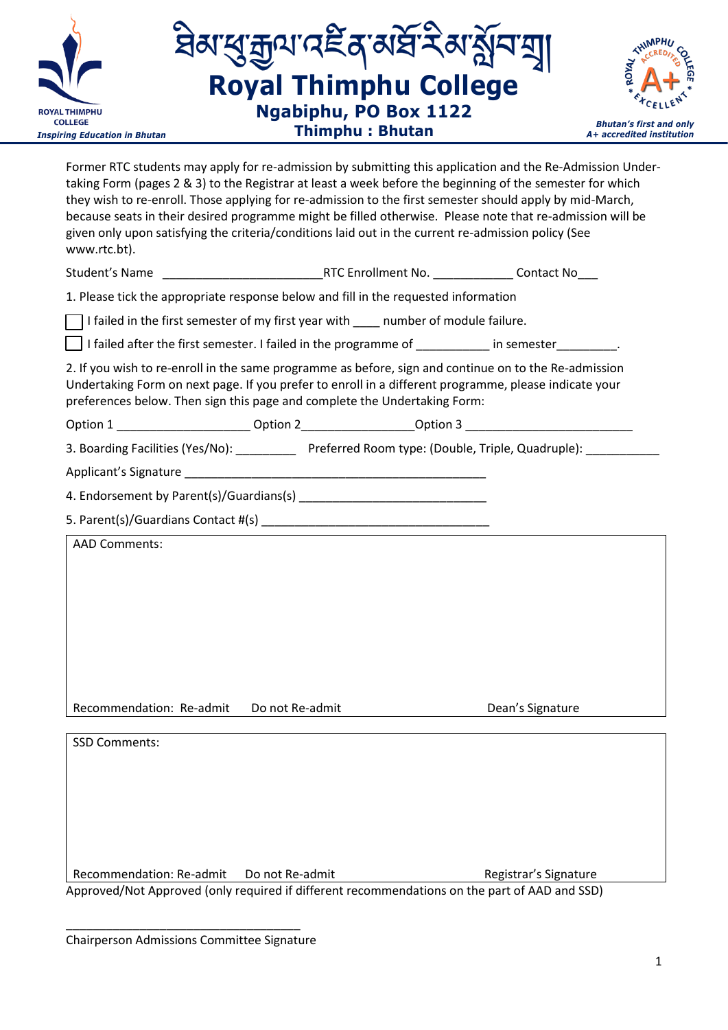

Former RTC students may apply for re-admission by submitting this application and the Re-Admission Undertaking Form (pages 2 & 3) to the Registrar at least a week before the beginning of the semester for which they wish to re-enroll. Those applying for re-admission to the first semester should apply by mid-March, because seats in their desired programme might be filled otherwise. Please note that re-admission will be given only upon satisfying the criteria/conditions laid out in the current re-admission policy (See www.rtc.bt).

| Student's Name | RTC Enrollment No. | Contact No |
|----------------|--------------------|------------|
|                |                    |            |

1. Please tick the appropriate response below and fill in the requested information

 $\Box$  I failed in the first semester of my first year with  $\Box$  number of module failure.

I failed after the first semester. I failed in the programme of \_\_\_\_\_\_\_\_\_\_\_ in semester\_\_\_\_\_\_\_\_\_.

2. If you wish to re-enroll in the same programme as before, sign and continue on to the Re-admission Undertaking Form on next page. If you prefer to enroll in a different programme, please indicate your preferences below. Then sign this page and complete the Undertaking Form:

| Option 1 |  |  |
|----------|--|--|
|          |  |  |

Option 2 comparison of the Option 3

3. Boarding Facilities (Yes/No): \_\_\_\_\_\_\_\_\_\_\_\_ Preferred Room type: (Double, Triple, Quadruple): \_\_\_\_\_\_\_\_\_\_

Applicant's Signature

4. Endorsement by Parent(s)/Guardians(s) \_\_\_\_\_\_\_\_\_\_\_\_\_\_\_\_\_\_\_\_\_\_\_\_\_\_\_\_

5. Parent(s)/Guardians Contact #(s) \_\_\_\_\_\_\_\_\_\_\_\_\_\_\_\_\_\_\_\_\_\_\_\_\_\_\_\_\_\_\_\_\_\_

| <b>AAD Comments:</b>     |                 |                  |
|--------------------------|-----------------|------------------|
|                          |                 |                  |
|                          |                 |                  |
|                          |                 |                  |
|                          |                 |                  |
|                          |                 |                  |
|                          |                 |                  |
|                          |                 |                  |
|                          |                 |                  |
| Recommendation: Re-admit | Do not Re-admit | Dean's Signature |

SSD Comments: Recommendation: Re-admit Do not Re-admit Alexandre Registrar's Signature Approved/Not Approved (only required if different recommendations on the part of AAD and SSD)

\_\_\_\_\_\_\_\_\_\_\_\_\_\_\_\_\_\_\_\_\_\_\_\_\_\_\_\_\_\_\_\_\_\_\_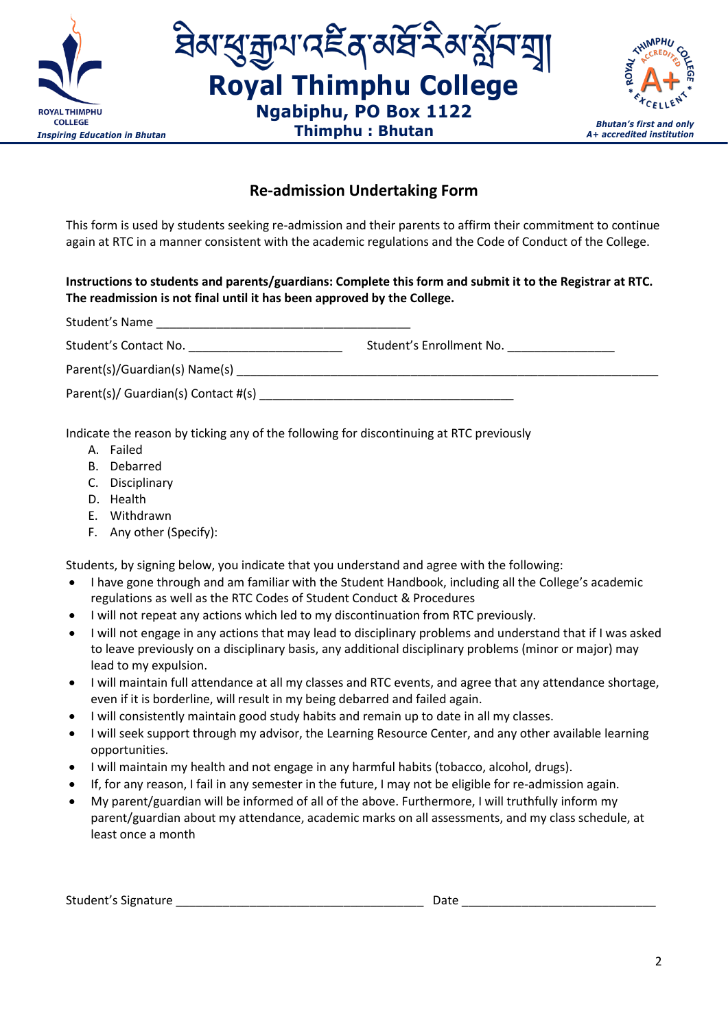





## **Re-admission Undertaking Form**

This form is used by students seeking re-admission and their parents to affirm their commitment to continue again at RTC in a manner consistent with the academic regulations and the Code of Conduct of the College.

## **Instructions to students and parents/guardians: Complete this form and submit it to the Registrar at RTC. The readmission is not final until it has been approved by the College.**

Student's Name

Student's Contact No. \_\_\_\_\_\_\_\_\_\_\_\_\_\_\_\_\_\_\_\_\_\_\_ Student's Enrollment No. \_\_\_\_\_\_\_\_\_\_\_\_\_\_\_\_

Parent(s)/Guardian(s) Name(s) \_\_\_\_\_\_\_\_\_\_\_\_\_\_\_\_\_\_\_\_\_\_\_\_\_\_\_\_\_\_\_\_\_\_\_\_\_\_\_\_\_\_\_\_\_\_\_\_\_\_\_\_\_\_\_\_\_\_\_\_\_\_\_

Parent(s)/ Guardian(s) Contact #(s) \_\_\_\_\_\_\_\_\_\_\_\_\_\_\_\_\_\_\_\_\_\_\_\_\_\_\_\_\_\_\_\_\_\_\_\_\_\_

Indicate the reason by ticking any of the following for discontinuing at RTC previously

- A. Failed
- B. Debarred
- C. Disciplinary
- D. Health
- E. Withdrawn
- F. Any other (Specify):

Students, by signing below, you indicate that you understand and agree with the following:

- I have gone through and am familiar with the Student Handbook, including all the College's academic regulations as well as the RTC Codes of Student Conduct & Procedures
- I will not repeat any actions which led to my discontinuation from RTC previously.
- I will not engage in any actions that may lead to disciplinary problems and understand that if I was asked to leave previously on a disciplinary basis, any additional disciplinary problems (minor or major) may lead to my expulsion.
- I will maintain full attendance at all my classes and RTC events, and agree that any attendance shortage, even if it is borderline, will result in my being debarred and failed again.
- I will consistently maintain good study habits and remain up to date in all my classes.
- I will seek support through my advisor, the Learning Resource Center, and any other available learning opportunities.
- I will maintain my health and not engage in any harmful habits (tobacco, alcohol, drugs).
- If, for any reason, I fail in any semester in the future, I may not be eligible for re-admission again.
- My parent/guardian will be informed of all of the above. Furthermore, I will truthfully inform my parent/guardian about my attendance, academic marks on all assessments, and my class schedule, at least once a month

| Student's Signature<br>Date |
|-----------------------------|
|-----------------------------|